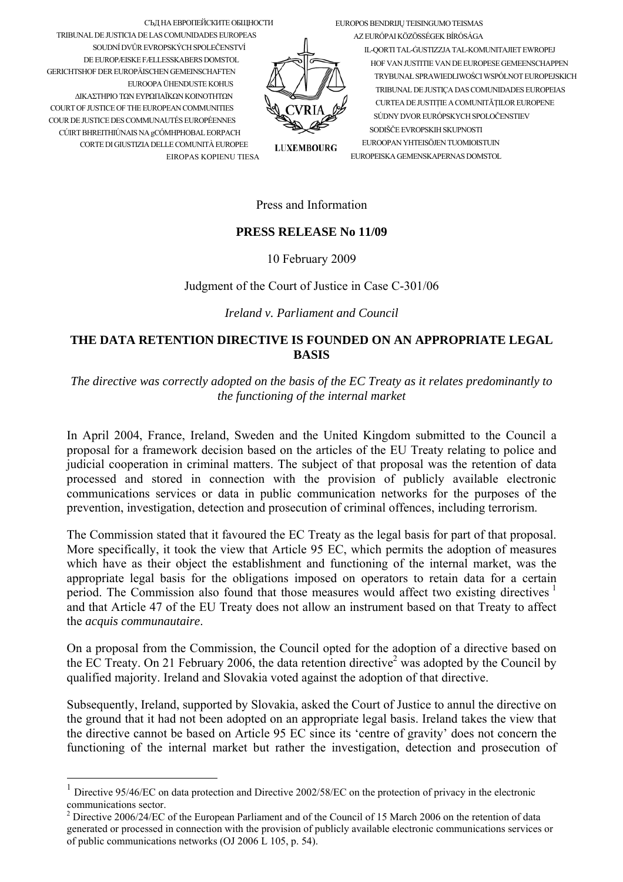EUROPOS BENDRIJU TEISINGUMO TEISMAS

СЪД НА ЕВРОПЕЙСКИТЕ ОБЩНОСТИ TRIBUNAL DE JUSTICIA DE LAS COMUNIDADES EUROPEAS SOUDNÍ DVŮR EVROPSKÝCH SPOLEČENSTVÍ DE EUROPÆISKE FÆLLESSKABERS DOMSTOL **GERICHTSHOF DER ELIROPÄISCHEN GEMEINSCHAFTEN** EUROOPA ÜHENDUSTE KOHUS ΛΙΚΑΣΤΗΡΙΟ ΤΩΝ ΕΥΡΩΠΑΪΚΩΝ ΚΟΙΝΟΤΗΤΩΝ COURT OF JUSTICE OF THE EUROPEAN COMMUNITIES COUR DE JUSTICE DES COMMUNAUTÉS EUROPÉENNES CÚIRT BHREITHIÚNAIS NA gCÓMHPHOBAL EORPACH CORTE DI GIUSTIZIA DELLE COMUNITÀ EUROPEE EIROPAS KOPIENU TIESA

AZ EURÓPAI KÖZÖSSÉGEK BÍRÓSÁGA IL-QORTI TAL-GUSTIZZJA TAL-KOMUNITAJIET EWROPEJ HOF VAN II ISTITTE VAN DE EI IROPESE GEMEENSCHAPPEN TRYBUNAŁ SPRAWIEDLIWOŚCI WSPÓLNOT EUROPEJSKICH TRIBUNAL DE JUSTICA DAS COMUNIDADES EUROPEIAS CURTEA DE JUSTITIE A COMUNITĂTILOR EUROPENE SÚDNY DVOR EURÓPSKYCH SPOLOČENSTIEV SODIŠČE EVROPSKIH SKUPNOSTI EUROOPAN YHTEISÖJEN TUOMIOISTUIN EUROPEISKA GEMENSKAPERNAS DOMSTOL

**LUXEMBOURG** 

## Press and Information

## **PRESS RELEASE No 11/09**

10 February 2009

Judgment of the Court of Justice in Case C-301/06

Ireland v. Parliament and Council

## THE DATA RETENTION DIRECTIVE IS FOUNDED ON AN APPROPRIATE LEGAL **BASIS**

The directive was correctly adopted on the basis of the EC Treaty as it relates predominantly to the functioning of the internal market

In April 2004, France, Ireland, Sweden and the United Kingdom submitted to the Council a proposal for a framework decision based on the articles of the EU Treaty relating to police and judicial cooperation in criminal matters. The subject of that proposal was the retention of data processed and stored in connection with the provision of publicly available electronic communications services or data in public communication networks for the purposes of the prevention, investigation, detection and prosecution of criminal offences, including terrorism.

The Commission stated that it favoured the EC Treaty as the legal basis for part of that proposal. More specifically, it took the view that Article 95 EC, which permits the adoption of measures which have as their object the establishment and functioning of the internal market, was the appropriate legal basis for the obligations imposed on operators to retain data for a certain period. The Commission also found that those measures would affect two existing directives <sup>1</sup> and that Article 47 of the EU Treaty does not allow an instrument based on that Treaty to affect the *acquis communautaire*.

On a proposal from the Commission, the Council opted for the adoption of a directive based on the EC Treaty. On 21 February 2006, the data retention directive<sup>2</sup> was adopted by the Council by qualified majority. Ireland and Slovakia voted against the adoption of that directive.

Subsequently, Ireland, supported by Slovakia, asked the Court of Justice to annul the directive on the ground that it had not been adopted on an appropriate legal basis. Ireland takes the view that the directive cannot be based on Article 95 EC since its 'centre of gravity' does not concern the functioning of the internal market but rather the investigation, detection and prosecution of

<span id="page-0-0"></span>Directive 95/46/EC on data protection and Directive 2002/58/EC on the protection of privacy in the electronic communications sector.<br><sup>2</sup> Directive 2006/24/EC of the European Parliament and of the Council of 15 March 2006 on the retention of data

<span id="page-0-1"></span>generated or processed in connection with the provision of publicly available electronic communications services or of public communications networks (OJ 2006 L 105, p. 54).